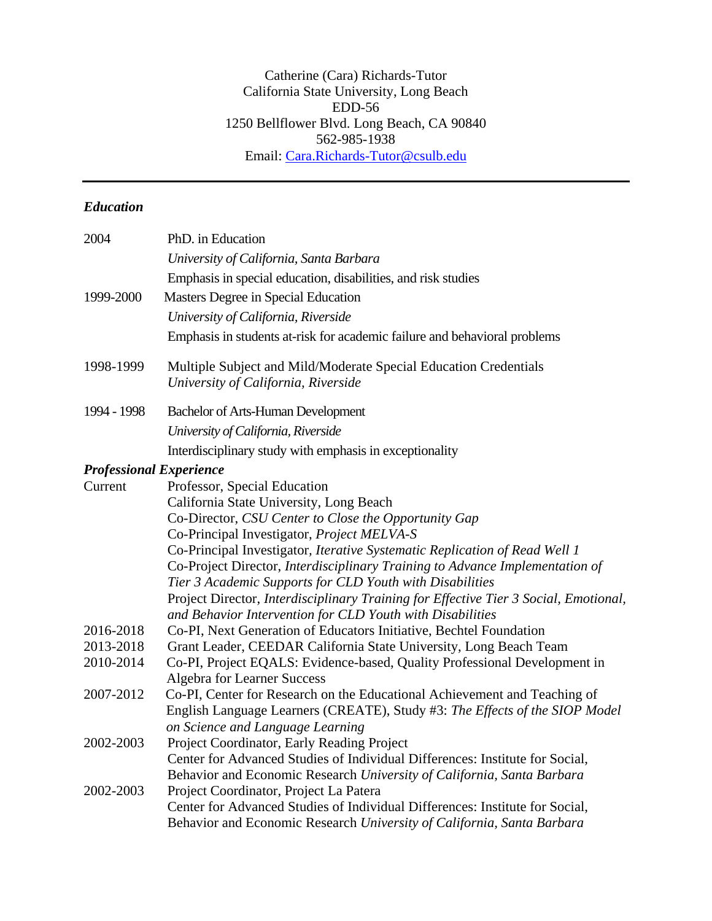Catherine (Cara) Richards-Tutor California State University, Long Beach EDD-56 1250 Bellflower Blvd. Long Beach, CA 90840 562-985-1938 Email: [Cara.Richards-Tutor@csulb.edu](mailto:Cara.Richards-Tutor@csulb.edu)

# *Education*

| 2004                           | PhD. in Education                                                                                                                                 |
|--------------------------------|---------------------------------------------------------------------------------------------------------------------------------------------------|
|                                | University of California, Santa Barbara                                                                                                           |
|                                | Emphasis in special education, disabilities, and risk studies                                                                                     |
| 1999-2000                      | Masters Degree in Special Education                                                                                                               |
|                                | University of California, Riverside                                                                                                               |
|                                | Emphasis in students at-risk for academic failure and behavioral problems                                                                         |
| 1998-1999                      | Multiple Subject and Mild/Moderate Special Education Credentials<br>University of California, Riverside                                           |
| 1994 - 1998                    | <b>Bachelor of Arts-Human Development</b>                                                                                                         |
|                                | University of California, Riverside                                                                                                               |
|                                | Interdisciplinary study with emphasis in exceptionality                                                                                           |
| <b>Professional Experience</b> |                                                                                                                                                   |
| Current                        | Professor, Special Education                                                                                                                      |
|                                | California State University, Long Beach                                                                                                           |
|                                | Co-Director, CSU Center to Close the Opportunity Gap                                                                                              |
|                                | Co-Principal Investigator, Project MELVA-S                                                                                                        |
|                                | Co-Principal Investigator, Iterative Systematic Replication of Read Well 1                                                                        |
|                                | Co-Project Director, Interdisciplinary Training to Advance Implementation of                                                                      |
|                                | Tier 3 Academic Supports for CLD Youth with Disabilities                                                                                          |
|                                | Project Director, Interdisciplinary Training for Effective Tier 3 Social, Emotional,<br>and Behavior Intervention for CLD Youth with Disabilities |
| 2016-2018                      | Co-PI, Next Generation of Educators Initiative, Bechtel Foundation                                                                                |
| 2013-2018                      | Grant Leader, CEEDAR California State University, Long Beach Team                                                                                 |
| 2010-2014                      | Co-PI, Project EQALS: Evidence-based, Quality Professional Development in                                                                         |
|                                | <b>Algebra for Learner Success</b>                                                                                                                |
| 2007-2012                      | Co-PI, Center for Research on the Educational Achievement and Teaching of                                                                         |
|                                | English Language Learners (CREATE), Study #3: The Effects of the SIOP Model                                                                       |
|                                | on Science and Language Learning                                                                                                                  |
| 2002-2003                      | Project Coordinator, Early Reading Project                                                                                                        |
|                                | Center for Advanced Studies of Individual Differences: Institute for Social,                                                                      |
|                                | Behavior and Economic Research University of California, Santa Barbara                                                                            |
| 2002-2003                      | Project Coordinator, Project La Patera                                                                                                            |
|                                | Center for Advanced Studies of Individual Differences: Institute for Social,                                                                      |
|                                | Behavior and Economic Research University of California, Santa Barbara                                                                            |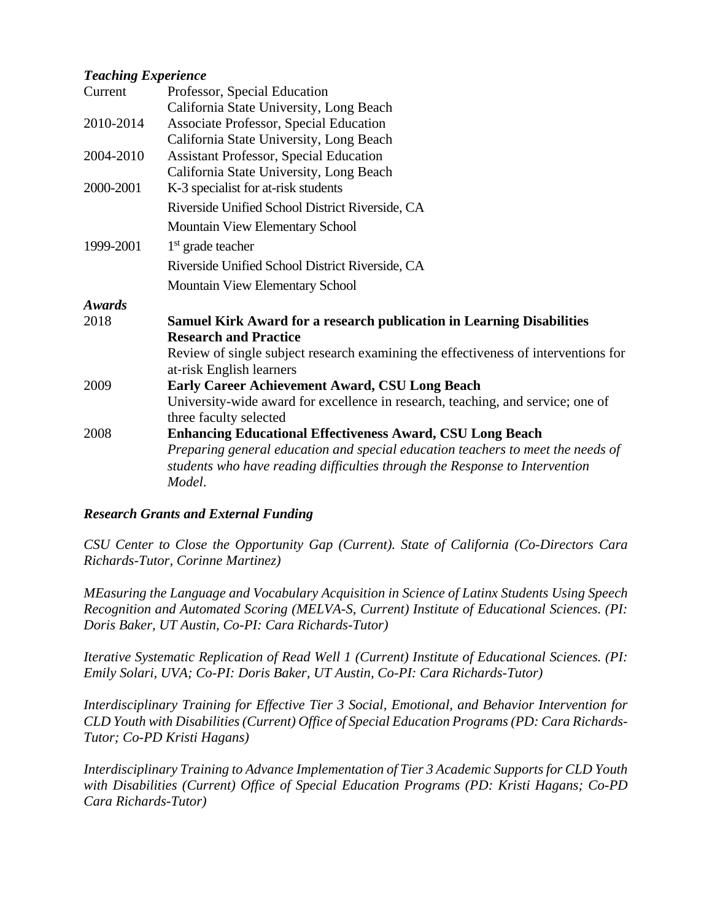#### *Teaching Experience*

| Current       | Professor, Special Education                                                                                   |
|---------------|----------------------------------------------------------------------------------------------------------------|
|               | California State University, Long Beach                                                                        |
| 2010-2014     | <b>Associate Professor, Special Education</b>                                                                  |
|               | California State University, Long Beach                                                                        |
| 2004-2010     | <b>Assistant Professor, Special Education</b>                                                                  |
|               | California State University, Long Beach                                                                        |
| 2000-2001     | K-3 specialist for at-risk students                                                                            |
|               | Riverside Unified School District Riverside, CA                                                                |
|               | Mountain View Elementary School                                                                                |
| 1999-2001     | $1st$ grade teacher                                                                                            |
|               | Riverside Unified School District Riverside, CA                                                                |
|               | Mountain View Elementary School                                                                                |
| <b>Awards</b> |                                                                                                                |
| 2018          | <b>Samuel Kirk Award for a research publication in Learning Disabilities</b>                                   |
|               | <b>Research and Practice</b>                                                                                   |
|               | Review of single subject research examining the effectiveness of interventions for<br>at-risk English learners |
| 2009          | <b>Early Career Achievement Award, CSU Long Beach</b>                                                          |
|               | University-wide award for excellence in research, teaching, and service; one of                                |
|               | three faculty selected                                                                                         |
| 2008          | <b>Enhancing Educational Effectiveness Award, CSU Long Beach</b>                                               |
|               | Preparing general education and special education teachers to meet the needs of                                |
|               | students who have reading difficulties through the Response to Intervention                                    |
|               | Model.                                                                                                         |

#### *Research Grants and External Funding*

*CSU Center to Close the Opportunity Gap (Current). State of California (Co-Directors Cara Richards-Tutor, Corinne Martinez)*

*MEasuring the Language and Vocabulary Acquisition in Science of Latinx Students Using Speech Recognition and Automated Scoring (MELVA-S, Current) Institute of Educational Sciences. (PI: Doris Baker, UT Austin, Co-PI: Cara Richards-Tutor)* 

*Iterative Systematic Replication of Read Well 1 (Current) Institute of Educational Sciences. (PI: Emily Solari, UVA; Co-PI: Doris Baker, UT Austin, Co-PI: Cara Richards-Tutor)*

*Interdisciplinary Training for Effective Tier 3 Social, Emotional, and Behavior Intervention for CLD Youth with Disabilities(Current) Office of Special Education Programs (PD: Cara Richards-Tutor; Co-PD Kristi Hagans)*

*Interdisciplinary Training to Advance Implementation of Tier 3 Academic Supports for CLD Youth with Disabilities (Current) Office of Special Education Programs (PD: Kristi Hagans; Co-PD Cara Richards-Tutor)*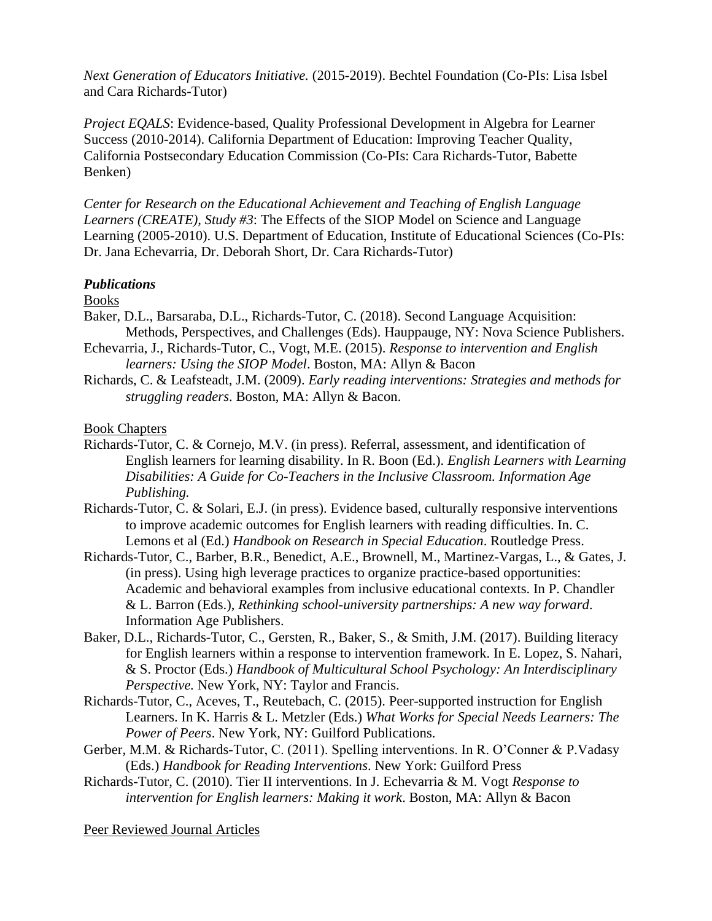*Next Generation of Educators Initiative.* (2015-2019). Bechtel Foundation (Co-PIs: Lisa Isbel and Cara Richards-Tutor)

*Project EQALS*: Evidence-based, Quality Professional Development in Algebra for Learner Success (2010-2014). California Department of Education: Improving Teacher Quality, California Postsecondary Education Commission (Co-PIs: Cara Richards-Tutor, Babette Benken)

*Center for Research on the Educational Achievement and Teaching of English Language Learners (CREATE), Study #3*: The Effects of the SIOP Model on Science and Language Learning (2005-2010). U.S. Department of Education, Institute of Educational Sciences (Co-PIs: Dr. Jana Echevarria, Dr. Deborah Short, Dr. Cara Richards-Tutor)

#### *Publications*

Books

- Baker, D.L., Barsaraba, D.L., Richards-Tutor, C. (2018). Second Language Acquisition: Methods, Perspectives, and Challenges (Eds). Hauppauge, NY: Nova Science Publishers.
- Echevarria, J., Richards-Tutor, C., Vogt, M.E. (2015). *Response to intervention and English learners: Using the SIOP Model*. Boston, MA: Allyn & Bacon
- Richards, C. & Leafsteadt, J.M. (2009). *Early reading interventions: Strategies and methods for struggling readers*. Boston, MA: Allyn & Bacon.

#### Book Chapters

- Richards-Tutor, C. & Cornejo, M.V. (in press). Referral, assessment, and identification of English learners for learning disability. In R. Boon (Ed.). *English Learners with Learning Disabilities: A Guide for Co-Teachers in the Inclusive Classroom. Information Age Publishing.*
- Richards-Tutor, C. & Solari, E.J. (in press). Evidence based, culturally responsive interventions to improve academic outcomes for English learners with reading difficulties. In. C. Lemons et al (Ed.) *Handbook on Research in Special Education*. Routledge Press.
- Richards-Tutor, C., Barber, B.R., Benedict, A.E., Brownell, M., Martinez-Vargas, L., & Gates, J. (in press). Using high leverage practices to organize practice-based opportunities: Academic and behavioral examples from inclusive educational contexts. In P. Chandler & L. Barron (Eds.), *Rethinking school-university partnerships: A new way forward*. Information Age Publishers.
- Baker, D.L., Richards-Tutor, C., Gersten, R., Baker, S., & Smith, J.M. (2017). Building literacy for English learners within a response to intervention framework. In E. Lopez, S. Nahari, & S. Proctor (Eds.) *Handbook of Multicultural School Psychology: An Interdisciplinary Perspective.* New York, NY: Taylor and Francis.
- Richards-Tutor, C., Aceves, T., Reutebach, C. (2015). Peer-supported instruction for English Learners. In K. Harris & L. Metzler (Eds.) *What Works for Special Needs Learners: The Power of Peers*. New York, NY: Guilford Publications.
- Gerber, M.M. & Richards-Tutor, C. (2011). Spelling interventions. In R. O'Conner & P.Vadasy (Eds.) *Handbook for Reading Interventions*. New York: Guilford Press
- Richards-Tutor, C. (2010). Tier II interventions. In J. Echevarria & M. Vogt *Response to intervention for English learners: Making it work*. Boston, MA: Allyn & Bacon

Peer Reviewed Journal Articles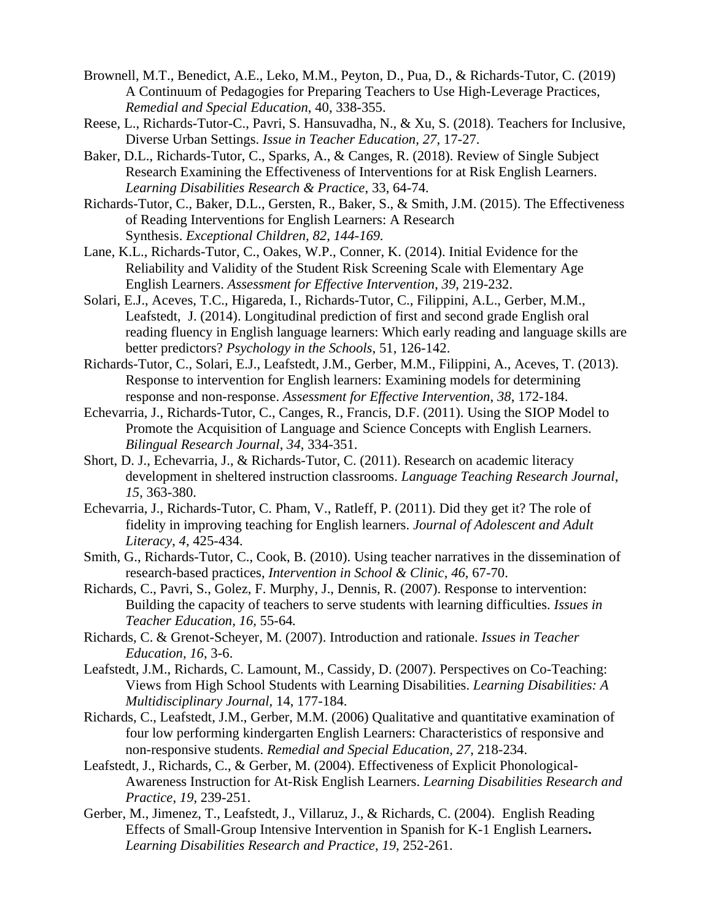- Brownell, M.T., Benedict, A.E., Leko, M.M., Peyton, D., Pua, D., & Richards-Tutor, C. (2019) A Continuum of Pedagogies for Preparing Teachers to Use High-Leverage Practices, *Remedial and Special Education*, 40, 338-355.
- Reese, L., Richards-Tutor-C., Pavri, S. Hansuvadha, N., & Xu, S. (2018). Teachers for Inclusive, Diverse Urban Settings. *Issue in Teacher Education, 27,* 17-27.
- Baker, D.L., Richards-Tutor, C., Sparks, A., & Canges, R. (2018). Review of Single Subject Research Examining the Effectiveness of Interventions for at Risk English Learners. *Learning Disabilities Research & Practice*, 33, 64-74.
- Richards-Tutor, C., Baker, D.L., Gersten, R., Baker, S., & Smith, J.M. (2015). The Effectiveness of Reading Interventions for English Learners: A Research Synthesis. *Exceptional Children, 82, 144-169.*
- Lane, K.L., Richards-Tutor, C., Oakes, W.P., Conner, K. (2014). Initial Evidence for the Reliability and Validity of the Student Risk Screening Scale with Elementary Age English Learners. *Assessment for Effective Intervention*, *39*, 219-232.
- Solari, E.J., Aceves, T.C., Higareda, I., Richards-Tutor, C., Filippini, A.L., Gerber, M.M., Leafstedt, J. (2014). Longitudinal prediction of first and second grade English oral reading fluency in English language learners: Which early reading and language skills are better predictors? *Psychology in the Schools*, 51, 126-142.
- Richards-Tutor, C., Solari, E.J., Leafstedt, J.M., Gerber, M.M., Filippini, A., Aceves, T. (2013). Response to intervention for English learners: Examining models for determining response and non-response. *Assessment for Effective Intervention*, *38*, 172-184.
- Echevarria, J., Richards-Tutor, C., Canges, R., Francis, D.F. (2011). Using the SIOP Model to Promote the Acquisition of Language and Science Concepts with English Learners. *Bilingual Research Journal*, *34*, 334-351.
- Short, D. J., Echevarria, J., & Richards-Tutor, C. (2011). Research on academic literacy development in sheltered instruction classrooms. *Language Teaching Research Journal*, *15*, 363-380.
- Echevarria, J., Richards-Tutor, C. Pham, V., Ratleff, P. (2011). Did they get it? The role of fidelity in improving teaching for English learners. *Journal of Adolescent and Adult Literacy*, *4*, 425-434.
- Smith, G., Richards-Tutor, C., Cook, B. (2010). Using teacher narratives in the dissemination of research-based practices, *Intervention in School & Clinic*, *46*, 67-70.
- Richards, C., Pavri, S., Golez, F. Murphy, J., Dennis, R. (2007). Response to intervention: Building the capacity of teachers to serve students with learning difficulties. *Issues in Teacher Education, 16,* 55-64*.*
- Richards, C. & Grenot-Scheyer, M. (2007). Introduction and rationale. *Issues in Teacher Education, 16*, 3-6.
- Leafstedt, J.M., Richards, C. Lamount, M., Cassidy, D. (2007). Perspectives on Co-Teaching: Views from High School Students with Learning Disabilities. *Learning Disabilities: A Multidisciplinary Journal,* 14, 177-184.
- Richards, C., Leafstedt, J.M., Gerber, M.M. (2006) Qualitative and quantitative examination of four low performing kindergarten English Learners: Characteristics of responsive and non-responsive students. *Remedial and Special Education, 27*, 218-234.
- Leafstedt, J., Richards, C., & Gerber, M. (2004). Effectiveness of Explicit Phonological-Awareness Instruction for At-Risk English Learners. *Learning Disabilities Research and Practice*, *19*, 239-251.
- Gerber, M., Jimenez, T., Leafstedt, J., Villaruz, J., & Richards, C. (2004). English Reading Effects of Small-Group Intensive Intervention in Spanish for K-1 English Learners**.**  *Learning Disabilities Research and Practice*, *19*, 252-261.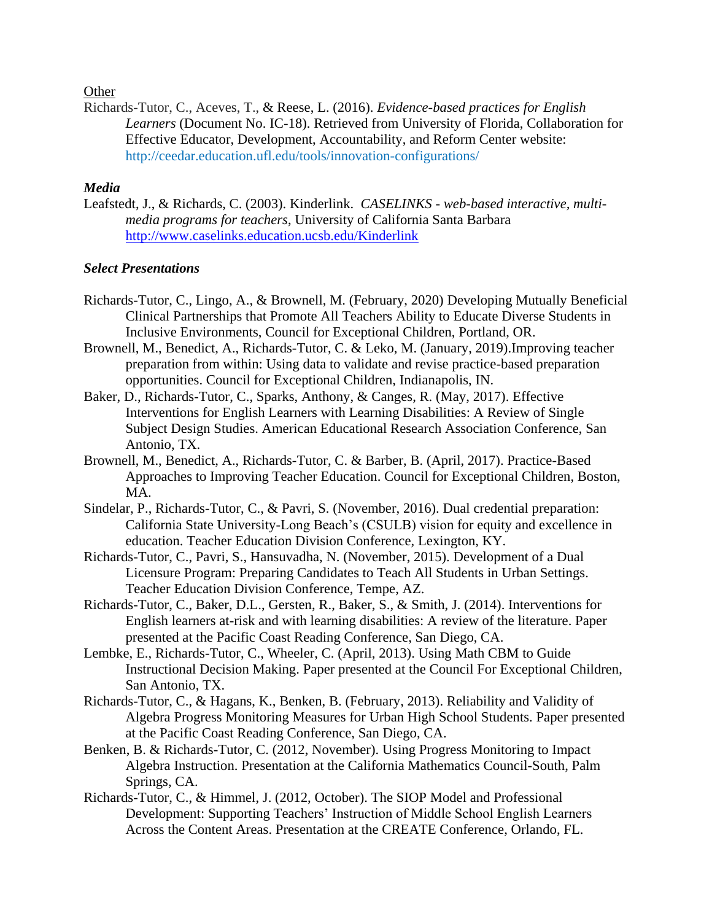**Other** 

Richards-Tutor, C., Aceves, T., & Reese, L. (2016). *Evidence-based practices for English Learners* (Document No. IC-18). Retrieved from University of Florida, Collaboration for Effective Educator, Development, Accountability, and Reform Center website: http://ceedar.education.ufl.edu/tools/innovation-configurations/

#### *Media*

Leafstedt, J., & Richards, C. (2003). Kinderlink. *CASELINKS - web-based interactive, multimedia programs for teachers*, University of California Santa Barbara <http://www.caselinks.education.ucsb.edu/Kinderlink>

### *Select Presentations*

- Richards-Tutor, C., Lingo, A., & Brownell, M. (February, 2020) Developing Mutually Beneficial Clinical Partnerships that Promote All Teachers Ability to Educate Diverse Students in Inclusive Environments, Council for Exceptional Children, Portland, OR.
- Brownell, M., Benedict, A., Richards-Tutor, C. & Leko, M. (January, 2019).Improving teacher preparation from within: Using data to validate and revise practice-based preparation opportunities. Council for Exceptional Children, Indianapolis, IN.
- Baker, D., Richards-Tutor, C., Sparks, Anthony, & Canges, R. (May, 2017). Effective Interventions for English Learners with Learning Disabilities: A Review of Single Subject Design Studies. American Educational Research Association Conference, San Antonio, TX.
- Brownell, M., Benedict, A., Richards-Tutor, C. & Barber, B. (April, 2017). Practice-Based Approaches to Improving Teacher Education. Council for Exceptional Children, Boston, MA.
- Sindelar, P., Richards-Tutor, C., & Pavri, S. (November, 2016). Dual credential preparation: California State University-Long Beach's (CSULB) vision for equity and excellence in education. Teacher Education Division Conference, Lexington, KY.
- Richards-Tutor, C., Pavri, S., Hansuvadha, N. (November, 2015). Development of a Dual Licensure Program: Preparing Candidates to Teach All Students in Urban Settings. Teacher Education Division Conference, Tempe, AZ.
- Richards-Tutor, C., Baker, D.L., Gersten, R., Baker, S., & Smith, J. (2014). Interventions for English learners at-risk and with learning disabilities: A review of the literature. Paper presented at the Pacific Coast Reading Conference, San Diego, CA.
- Lembke, E., Richards-Tutor, C., Wheeler, C. (April, 2013). Using Math CBM to Guide Instructional Decision Making. Paper presented at the Council For Exceptional Children, San Antonio, TX.
- Richards-Tutor, C., & Hagans, K., Benken, B. (February, 2013). Reliability and Validity of Algebra Progress Monitoring Measures for Urban High School Students. Paper presented at the Pacific Coast Reading Conference, San Diego, CA.
- Benken, B. & Richards-Tutor, C. (2012, November). Using Progress Monitoring to Impact Algebra Instruction. Presentation at the California Mathematics Council-South, Palm Springs, CA.
- Richards-Tutor, C., & Himmel, J. (2012, October). The SIOP Model and Professional Development: Supporting Teachers' Instruction of Middle School English Learners Across the Content Areas. Presentation at the CREATE Conference, Orlando, FL.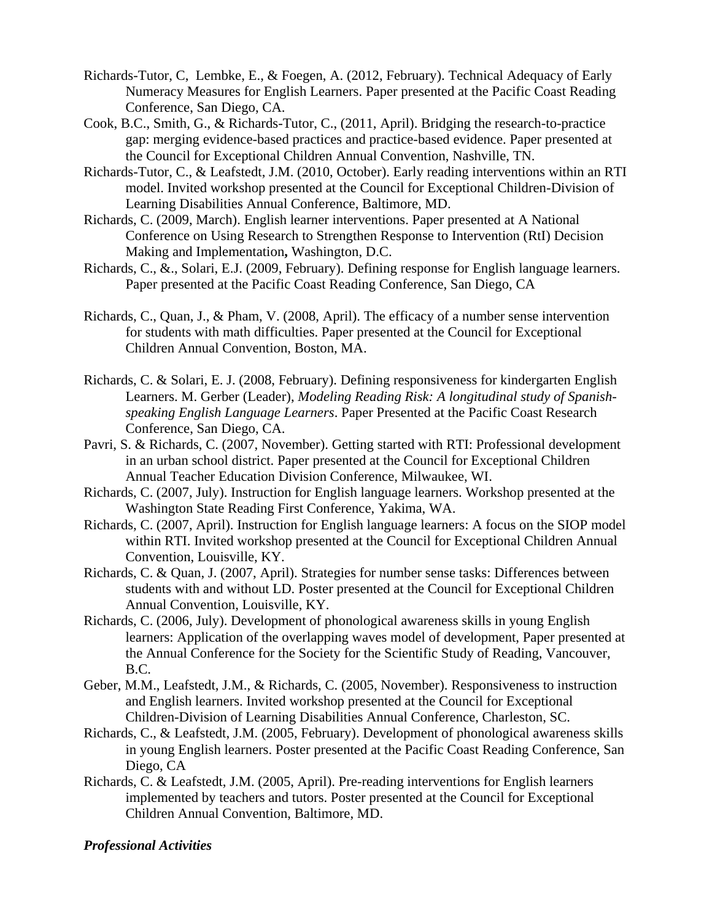- Richards-Tutor, C, Lembke, E., & Foegen, A. (2012, February). Technical Adequacy of Early Numeracy Measures for English Learners. Paper presented at the Pacific Coast Reading Conference, San Diego, CA.
- Cook, B.C., Smith, G., & Richards-Tutor, C., (2011, April). Bridging the research-to-practice gap: merging evidence-based practices and practice-based evidence. Paper presented at the Council for Exceptional Children Annual Convention, Nashville, TN.
- Richards-Tutor, C., & Leafstedt, J.M. (2010, October). Early reading interventions within an RTI model. Invited workshop presented at the Council for Exceptional Children-Division of Learning Disabilities Annual Conference, Baltimore, MD.
- Richards, C. (2009, March). English learner interventions. Paper presented at A National Conference on Using Research to Strengthen Response to Intervention (RtI) Decision Making and Implementation**,** Washington, D.C.
- Richards, C., &., Solari, E.J. (2009, February). Defining response for English language learners. Paper presented at the Pacific Coast Reading Conference, San Diego, CA
- Richards, C., Quan, J., & Pham, V. (2008, April). The efficacy of a number sense intervention for students with math difficulties. Paper presented at the Council for Exceptional Children Annual Convention, Boston, MA.
- Richards, C. & Solari, E. J. (2008, February). Defining responsiveness for kindergarten English Learners. M. Gerber (Leader), *Modeling Reading Risk: A longitudinal study of Spanishspeaking English Language Learners*. Paper Presented at the Pacific Coast Research Conference, San Diego, CA.
- Pavri, S. & Richards, C. (2007, November). Getting started with RTI: Professional development in an urban school district. Paper presented at the Council for Exceptional Children Annual Teacher Education Division Conference, Milwaukee, WI.
- Richards, C. (2007, July). Instruction for English language learners. Workshop presented at the Washington State Reading First Conference, Yakima, WA.
- Richards, C. (2007, April). Instruction for English language learners: A focus on the SIOP model within RTI. Invited workshop presented at the Council for Exceptional Children Annual Convention, Louisville, KY.
- Richards, C. & Quan, J. (2007, April). Strategies for number sense tasks: Differences between students with and without LD. Poster presented at the Council for Exceptional Children Annual Convention, Louisville, KY.
- Richards, C. (2006, July). Development of phonological awareness skills in young English learners: Application of the overlapping waves model of development, Paper presented at the Annual Conference for the Society for the Scientific Study of Reading, Vancouver, B.C.
- Geber, M.M., Leafstedt, J.M., & Richards, C. (2005, November). Responsiveness to instruction and English learners. Invited workshop presented at the Council for Exceptional Children-Division of Learning Disabilities Annual Conference, Charleston, SC.
- Richards, C., & Leafstedt, J.M. (2005, February). Development of phonological awareness skills in young English learners. Poster presented at the Pacific Coast Reading Conference, San Diego, CA
- Richards, C. & Leafstedt, J.M. (2005, April). Pre-reading interventions for English learners implemented by teachers and tutors. Poster presented at the Council for Exceptional Children Annual Convention, Baltimore, MD.

## *Professional Activities*